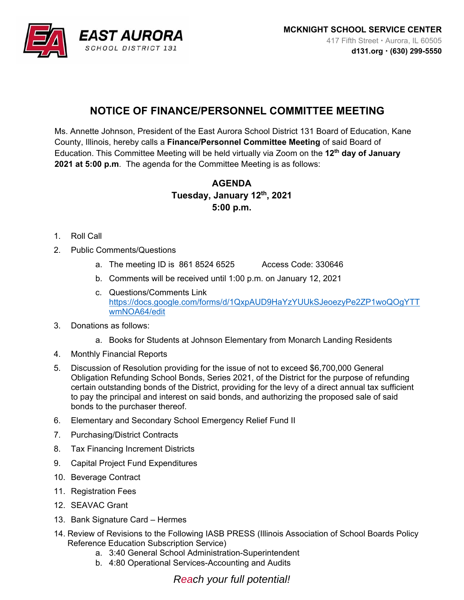

## **NOTICE OF FINANCE/PERSONNEL COMMITTEE MEETING**

Ms. Annette Johnson, President of the East Aurora School District 131 Board of Education, Kane County, Illinois, hereby calls a **Finance/Personnel Committee Meeting** of said Board of Education. This Committee Meeting will be held virtually via Zoom on the **12th day of January 2021 at 5:00 p.m**. The agenda for the Committee Meeting is as follows:

## **AGENDA Tuesday, January 12th, 2021 5:00 p.m.**

- 1. Roll Call
- 2. Public Comments/Questions
	- a. The meeting ID is 861 8524 6525 Access Code: 330646
	- b. Comments will be received until 1:00 p.m. on January 12, 2021
	- c. Questions/Comments Link https://docs.google.com/forms/d/1QxpAUD9HaYzYUUkSJeoezyPe2ZP1woQOgYTT wmNOA64/edit
- 3. Donations as follows:
	- a. Books for Students at Johnson Elementary from Monarch Landing Residents
- 4. Monthly Financial Reports
- 5. Discussion of Resolution providing for the issue of not to exceed \$6,700,000 General Obligation Refunding School Bonds, Series 2021, of the District for the purpose of refunding certain outstanding bonds of the District, providing for the levy of a direct annual tax sufficient to pay the principal and interest on said bonds, and authorizing the proposed sale of said bonds to the purchaser thereof.
- 6. Elementary and Secondary School Emergency Relief Fund II
- 7. Purchasing/District Contracts
- 8. Tax Financing Increment Districts
- 9. Capital Project Fund Expenditures
- 10. Beverage Contract
- 11. Registration Fees
- 12. SEAVAC Grant
- 13. Bank Signature Card Hermes
- 14. Review of Revisions to the Following IASB PRESS (Illinois Association of School Boards Policy Reference Education Subscription Service)
	- a. 3:40 General School Administration-Superintendent
	- b. 4:80 Operational Services-Accounting and Audits

*Reach your full potential!*